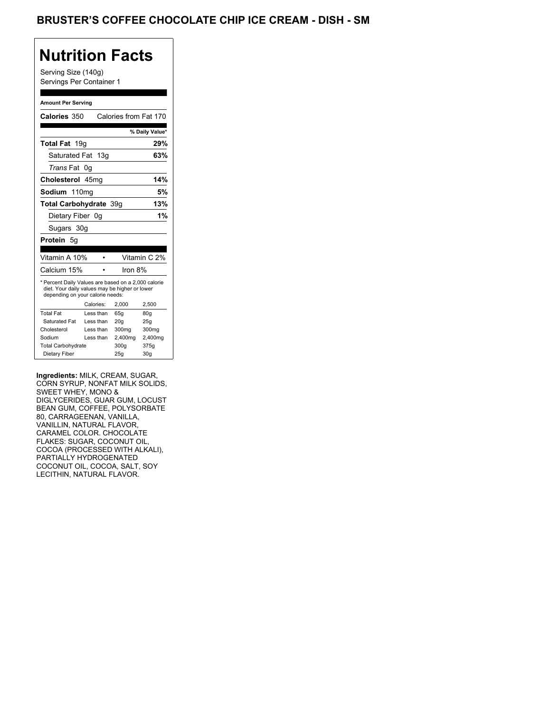## BRUSTER'S COFFEE CHOCOLATE CHIP ICE CREAM - DISH - SM

## **Nutrition Facts**

Serving Size (140g) Servings Per Container 1

#### **Amount Per Serving**

| Calories 350                                                                                                                                                                                                                                                                       |                        | Calories from Fat 170    |                |
|------------------------------------------------------------------------------------------------------------------------------------------------------------------------------------------------------------------------------------------------------------------------------------|------------------------|--------------------------|----------------|
|                                                                                                                                                                                                                                                                                    |                        |                          | % Daily Value* |
| Total Fat 19g                                                                                                                                                                                                                                                                      |                        |                          | 29%            |
| Saturated Fat 13g                                                                                                                                                                                                                                                                  |                        |                          | 63%            |
| Trans Fat 0g                                                                                                                                                                                                                                                                       |                        |                          |                |
| Cholesterol 45mg                                                                                                                                                                                                                                                                   |                        |                          | 14%            |
| Sodium 110mg                                                                                                                                                                                                                                                                       |                        |                          | 5%             |
| Total Carbohydrate 39g                                                                                                                                                                                                                                                             |                        |                          | 13%            |
| Dietary Fiber 0g                                                                                                                                                                                                                                                                   |                        |                          | 1%             |
| Sugars 30g                                                                                                                                                                                                                                                                         |                        |                          |                |
| Protein 5g                                                                                                                                                                                                                                                                         |                        |                          |                |
|                                                                                                                                                                                                                                                                                    |                        |                          |                |
| Vitamin A 10%                                                                                                                                                                                                                                                                      | $\bullet$              |                          | Vitamin C 2%   |
| Calcium 15%                                                                                                                                                                                                                                                                        | $\bullet$              | Iron 8%                  |                |
| * Percent Daily Values are based on a 2,000 calorie<br>diet. Your daily values may be higher or lower<br>depending on your calorie needs:<br><b>Total Fat</b>                                                                                                                      | Calories:<br>Less than | 2,000<br>65g             | 2,500<br>80g   |
| Saturated Fat<br>Cholesterol                                                                                                                                                                                                                                                       | Less than<br>Less than | 20 <sub>g</sub><br>300mg | 25g<br>300mg   |
| Sodium                                                                                                                                                                                                                                                                             | Less than              | 2,400mg                  | 2,400mg        |
| <b>Total Carbohydrate</b><br>Dietary Fiber                                                                                                                                                                                                                                         |                        | 300g<br>25g              | 375g<br>30g    |
| BEAN GUM, COFFEE, POLYSORBATE<br>30, CARRAGEENAN, VANILLA,<br>VANILLIN, NATURAL FLAVOR,<br>CARAMEL COLOR. CHOCOLATE<br>FLAKES: SUGAR, COCONUT OIL,<br>COCOA (PROCESSED WITH ALKALI),<br>PARTIALLY HYDROGENATED<br>COCONUT OIL, COCOA, SALT, SOY<br><b>ECITHIN, NATURAL FLAVOR.</b> |                        |                          |                |
|                                                                                                                                                                                                                                                                                    |                        |                          |                |
|                                                                                                                                                                                                                                                                                    |                        |                          |                |
|                                                                                                                                                                                                                                                                                    |                        |                          |                |
|                                                                                                                                                                                                                                                                                    |                        |                          |                |
|                                                                                                                                                                                                                                                                                    |                        |                          |                |
|                                                                                                                                                                                                                                                                                    |                        |                          |                |
|                                                                                                                                                                                                                                                                                    |                        |                          |                |
|                                                                                                                                                                                                                                                                                    |                        |                          |                |
|                                                                                                                                                                                                                                                                                    |                        |                          |                |
|                                                                                                                                                                                                                                                                                    |                        |                          |                |
|                                                                                                                                                                                                                                                                                    |                        |                          |                |
|                                                                                                                                                                                                                                                                                    |                        |                          |                |
|                                                                                                                                                                                                                                                                                    |                        |                          |                |
|                                                                                                                                                                                                                                                                                    |                        |                          |                |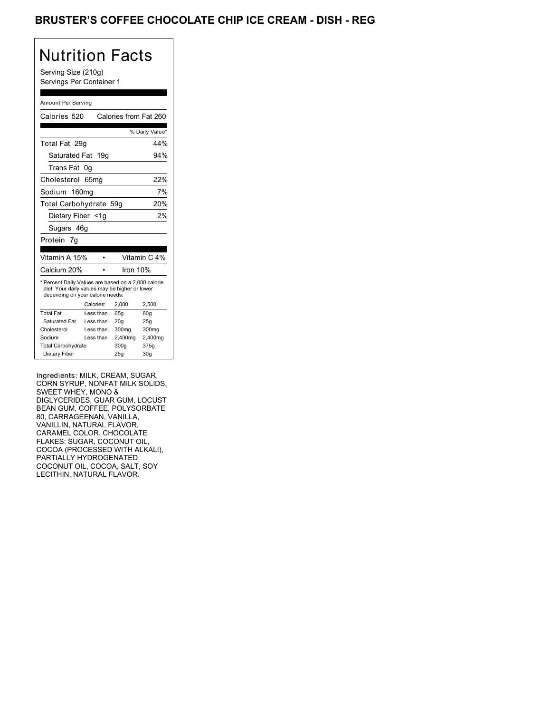## BRUSTER'S COFFEE CHOCOLATE CHIP ICE CREAM - DISH - REG

# Nutrition Facts

Serving Size (210g) Servings Per Container 1

#### Amount Per Serving

| Calories 520                                                                                                                                                                                                                                                                 |                        | Calories from Fat 260 |                  |
|------------------------------------------------------------------------------------------------------------------------------------------------------------------------------------------------------------------------------------------------------------------------------|------------------------|-----------------------|------------------|
|                                                                                                                                                                                                                                                                              |                        |                       | % Daily Value*   |
| Total Fat 29g                                                                                                                                                                                                                                                                |                        |                       | 44%              |
| Saturated Fat 19g                                                                                                                                                                                                                                                            |                        |                       | 94%              |
| Trans Fat 0g                                                                                                                                                                                                                                                                 |                        |                       |                  |
| Cholesterol 65mg                                                                                                                                                                                                                                                             |                        |                       | 22%              |
| Sodium 160mg                                                                                                                                                                                                                                                                 |                        |                       | 7%               |
| Total Carbohydrate 59g                                                                                                                                                                                                                                                       |                        |                       | 20%              |
| Dietary Fiber <1g                                                                                                                                                                                                                                                            |                        |                       | 2%               |
| Sugars 46g                                                                                                                                                                                                                                                                   |                        |                       |                  |
| Protein 7g                                                                                                                                                                                                                                                                   |                        |                       |                  |
| Vitamin A 15%                                                                                                                                                                                                                                                                | $\bullet$              |                       | Vitamin C 4%     |
| Calcium 20%                                                                                                                                                                                                                                                                  | $\bullet$              | Iron 10%              |                  |
| * Percent Daily Values are based on a 2,000 calorie<br>diet. Your daily values may be higher or lower<br>depending on your calorie needs:                                                                                                                                    |                        |                       |                  |
| <b>Total Fat</b>                                                                                                                                                                                                                                                             | Calories:<br>Less than | 2,000<br>65g          | 2,500<br>80g     |
| Saturated Fat                                                                                                                                                                                                                                                                | Less than              | 20g                   | 25g              |
| Cholesterol<br>Sodium                                                                                                                                                                                                                                                        | Less than<br>Less than | 300mg<br>2,400mg      | 300mg<br>2,400mg |
| <b>Total Carbohydrate</b>                                                                                                                                                                                                                                                    |                        | 300g                  | 375g             |
| Dietary Fiber                                                                                                                                                                                                                                                                |                        | 25g                   | 30g              |
| BEAN GUM, COFFEE, POLYSORBATE<br>30, CARRAGEENAN, VANILLA,<br>VANILLIN, NATURAL FLAVOR,<br>CARAMEL COLOR. CHOCOLATE<br>FLAKES: SUGAR, COCONUT OIL,<br>COCOA (PROCESSED WITH ALKALI),<br>PARTIALLY HYDROGENATED<br>COCONUT OIL, COCOA, SALT, SOY<br>_ECITHIN, NATURAL FLAVOR. |                        |                       |                  |
|                                                                                                                                                                                                                                                                              |                        |                       |                  |
|                                                                                                                                                                                                                                                                              |                        |                       |                  |
|                                                                                                                                                                                                                                                                              |                        |                       |                  |
|                                                                                                                                                                                                                                                                              |                        |                       |                  |
|                                                                                                                                                                                                                                                                              |                        |                       |                  |
|                                                                                                                                                                                                                                                                              |                        |                       |                  |
|                                                                                                                                                                                                                                                                              |                        |                       |                  |
|                                                                                                                                                                                                                                                                              |                        |                       |                  |
|                                                                                                                                                                                                                                                                              |                        |                       |                  |
|                                                                                                                                                                                                                                                                              |                        |                       |                  |
|                                                                                                                                                                                                                                                                              |                        |                       |                  |
|                                                                                                                                                                                                                                                                              |                        |                       |                  |
|                                                                                                                                                                                                                                                                              |                        |                       |                  |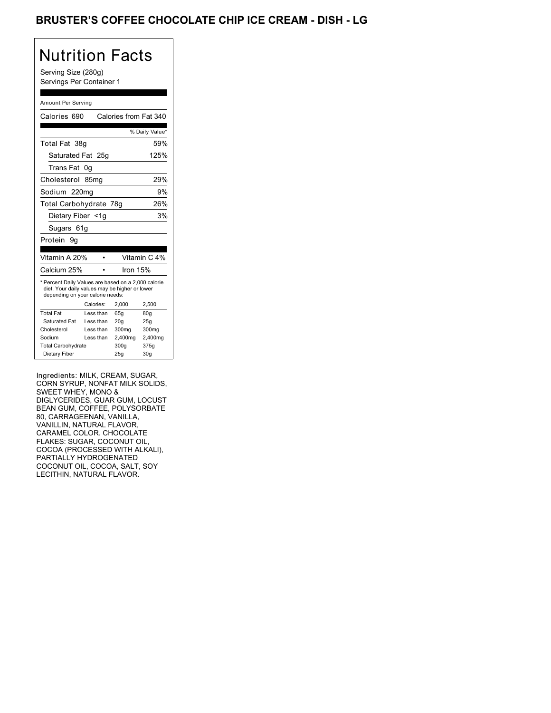## BRUSTER'S COFFEE CHOCOLATE CHIP ICE CREAM - DISH - LG

# Nutrition Facts

Serving Size (280g) Servings Per Container 1

#### Amount Per Serving

| Calories 690                                                                                                                                                                                                                                                                 |                        | Calories from Fat 340 |                  |
|------------------------------------------------------------------------------------------------------------------------------------------------------------------------------------------------------------------------------------------------------------------------------|------------------------|-----------------------|------------------|
|                                                                                                                                                                                                                                                                              |                        |                       | % Daily Value*   |
| Total Fat 38g                                                                                                                                                                                                                                                                |                        |                       | 59%              |
| Saturated Fat 25g                                                                                                                                                                                                                                                            |                        |                       | 125%             |
| Trans Fat 0g                                                                                                                                                                                                                                                                 |                        |                       |                  |
| Cholesterol 85mg                                                                                                                                                                                                                                                             |                        |                       | 29%              |
| Sodium 220mg                                                                                                                                                                                                                                                                 |                        |                       | 9%               |
| Total Carbohydrate 78g                                                                                                                                                                                                                                                       |                        |                       | 26%              |
| Dietary Fiber <1g                                                                                                                                                                                                                                                            |                        |                       | 3%               |
| Sugars 61g                                                                                                                                                                                                                                                                   |                        |                       |                  |
| Protein 9g                                                                                                                                                                                                                                                                   |                        |                       |                  |
|                                                                                                                                                                                                                                                                              |                        |                       |                  |
| Vitamin A 20%                                                                                                                                                                                                                                                                | $\bullet$              |                       | Vitamin C 4%     |
| Calcium 25%                                                                                                                                                                                                                                                                  | $\bullet$              | Iron 15%              |                  |
| * Percent Daily Values are based on a 2,000 calorie<br>diet. Your daily values may be higher or lower<br>depending on your calorie needs:                                                                                                                                    | Calories:              | 2,000                 | 2,500            |
| <b>Total Fat</b>                                                                                                                                                                                                                                                             | Less than              | 65g                   | 80g              |
| Saturated Fat                                                                                                                                                                                                                                                                | Less than              | 20g                   | 25g              |
| Cholesterol<br>Sodium                                                                                                                                                                                                                                                        | Less than<br>Less than | 300mg<br>2,400mg      | 300mg<br>2,400mg |
| <b>Total Carbohydrate</b>                                                                                                                                                                                                                                                    |                        | 300g                  | 375g             |
| Dietary Fiber                                                                                                                                                                                                                                                                |                        | 25g                   | 30g              |
| BEAN GUM, COFFEE, POLYSORBATE<br>30, CARRAGEENAN, VANILLA,<br>VANILLIN, NATURAL FLAVOR,<br>CARAMEL COLOR. CHOCOLATE<br>FLAKES: SUGAR, COCONUT OIL,<br>COCOA (PROCESSED WITH ALKALI),<br>PARTIALLY HYDROGENATED<br>COCONUT OIL, COCOA, SALT, SOY<br>_ECITHIN, NATURAL FLAVOR. |                        |                       |                  |
|                                                                                                                                                                                                                                                                              |                        |                       |                  |
|                                                                                                                                                                                                                                                                              |                        |                       |                  |
|                                                                                                                                                                                                                                                                              |                        |                       |                  |
|                                                                                                                                                                                                                                                                              |                        |                       |                  |
|                                                                                                                                                                                                                                                                              |                        |                       |                  |
|                                                                                                                                                                                                                                                                              |                        |                       |                  |
|                                                                                                                                                                                                                                                                              |                        |                       |                  |
|                                                                                                                                                                                                                                                                              |                        |                       |                  |
|                                                                                                                                                                                                                                                                              |                        |                       |                  |
|                                                                                                                                                                                                                                                                              |                        |                       |                  |
|                                                                                                                                                                                                                                                                              |                        |                       |                  |
|                                                                                                                                                                                                                                                                              |                        |                       |                  |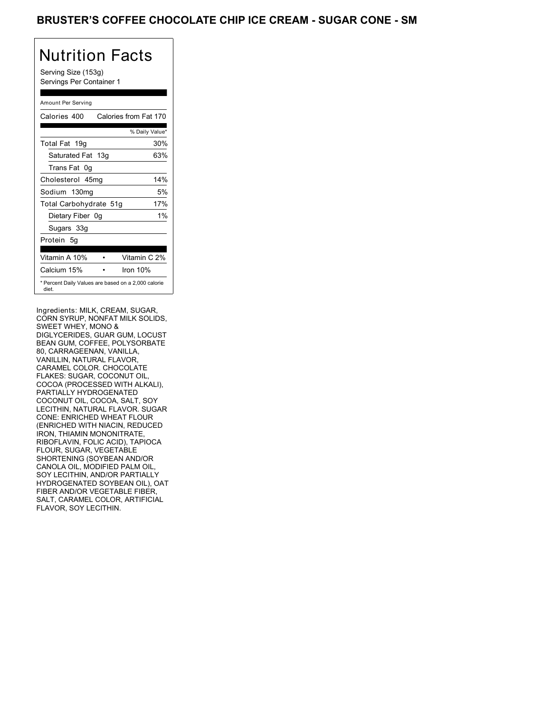## BRUSTER'S COFFEE CHOCOLATE CHIP ICE CREAM - SUGAR CONE - SM

## Nutrition Facts

Serving Size (153g) Servings Per Container 1

### Amount Per Serving

| Calories 400           | Calories from Fat 170                               |
|------------------------|-----------------------------------------------------|
|                        | % Daily Value*                                      |
| Total Fat 19g          | 30%                                                 |
| Saturated Fat 13g      | 63%                                                 |
| Trans Fat 0q           |                                                     |
| Cholesterol 45mg       | 14%                                                 |
| Sodium 130mg           | 5%                                                  |
| Total Carbohydrate 51g | 17%                                                 |
| Dietary Fiber 0g       | 1%                                                  |
| Sugars 33g             |                                                     |
| Protein 5q             |                                                     |
|                        |                                                     |
| Vitamin A 10%          | Vitamin C 2%                                        |
| Calcium 15%            | Iron 10%                                            |
| diet.                  | * Percent Daily Values are based on a 2,000 calorie |

depending on your calorie needs:

Ingredients: MILK, CREAM, SUGAR, CORN SYRUP, NONFAT MILK SWEET WHEY, MONO & DIGLYCERIDES, GUAR GUM, LOCUST BIOLTOLINDES, OOAN OOM, LOOOS<br>BEAN GUM, COFFEE, POLYSORBATE 80, CARRAGEENAN, VANILLA, VANILLIN, NATURAL FLAVOR, CARAMEL COLOR. CHOCOLATE FLAKES: SUGAR, COCONUT OIL, COCOA (PROCESSED WITH ALKALI), PARTIALLY HYDROGENATED COCONUT OIL, COCOA, SALT, SOY LECITHIN, NATURAL FLAVOR. SUGAR CONE: ENRICHED WHEAT FLOUR (ENRICHED WITH NIACIN, REDUCED IRON, THIAMIN MONONITRATE, RIBOFLAVIN, FOLIC ACID), TAPIOCA FLOUR, SUGAR, VEGETABLE SHORTENING (SOYBEAN AND/OR CANOLA OIL, MODIFIED PALM OIL, SOY LECITHIN, AND/OR PARTIALLY HYDROGENATED SOYBEAN OIL), OAT FIBER AND/OR VEGETABLE FIBER, SALT, CARAMEL COLOR, ARTIFICIAL FLAVOR, SOY LECITHIN.  $T_1$  Father Father,  $T_2$  is the  $T_3$  supported for  $\overline{S}$  Saturated Fat Less than 20g 25g SWEET WHEY, MONO &<br>DISCOVERED 3000 DOUGLASS TO 2000 BEAN GUM, COFFEE, POLYSORBATE Vertical, Full Friday, December 09, 17019g30%13g 63%0g45mg14%130mg5%51g17%33gNONFAT MILK SOLIDS,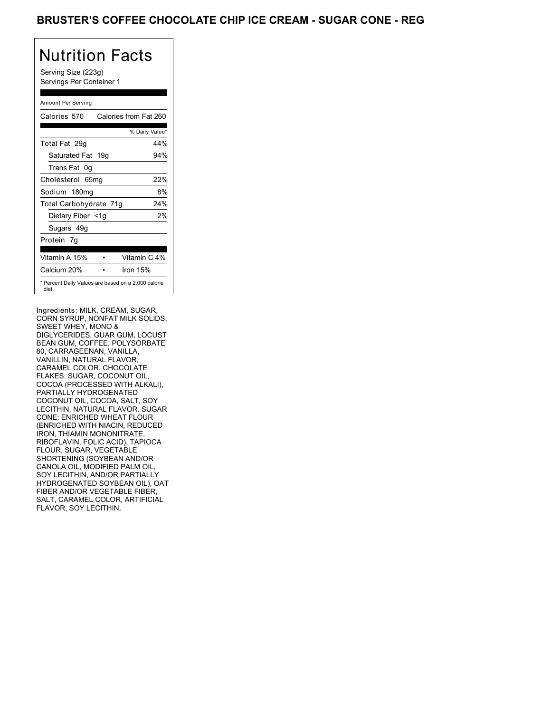## BRUSTER'S COFFEE CHOCOLATE CHIP ICE CREAM - SUGAR CONE - REG

# Nutrition Facts

Serving Size (223g) Servings Per Container 1

### Amount Per Serving

| Calories 570           | Calories from Fat 260                               |
|------------------------|-----------------------------------------------------|
|                        | % Daily Value*                                      |
| Total Fat 29q          | 44%                                                 |
| Saturated Fat 19g      | 94%                                                 |
| Trans Fat 0q           |                                                     |
| Cholesterol 65mg       | 22%                                                 |
| Sodium 180mg           | 8%                                                  |
| Total Carbohydrate 71g | 24%                                                 |
| Dietary Fiber <1g      | 2%                                                  |
| Sugars 49g             |                                                     |
| Protein 7g             |                                                     |
|                        |                                                     |
| Vitamin A 15%          | Vitamin C 4%                                        |
| Calcium 20%            | Iron 15%                                            |
| diet.                  | * Percent Daily Values are based on a 2,000 calorie |

depending on your calorie needs:

Ingredients: MILK, CREAM, SUGAR, CORN SYRUP, NONFAT MILK SWEET WHEY, MONO & DIGLYCERIDES, GUAR GUM, LOCUST BIOLTOLINDES, OOAN OOM, LOOOS<br>BEAN GUM, COFFEE, POLYSORBATE 80, CARRAGEENAN, VANILLA, VANILLIN, NATURAL FLAVOR, CARAMEL COLOR. CHOCOLATE FLAKES: SUGAR, COCONUT OIL, COCOA (PROCESSED WITH ALKALI), PARTIALLY HYDROGENATED COCONUT OIL, COCOA, SALT, SOY LECITHIN, NATURAL FLAVOR. SUGAR CONE: ENRICHED WHEAT FLOUR (ENRICHED WITH NIACIN, REDUCED IRON, THIAMIN MONONITRATE, RIBOFLAVIN, FOLIC ACID), TAPIOCA FLOUR, SUGAR, VEGETABLE SHORTENING (SOYBEAN AND/OR CANOLA OIL, MODIFIED PALM OIL, SOY LECITHIN, AND/OR PARTIALLY HYDROGENATED SOYBEAN OIL), OAT FIBER AND/OR VEGETABLE FIBER, SALT, CARAMEL COLOR, ARTIFICIAL FLAVOR, SOY LECITHIN.  $T_1$  $T_2$  $T_3$   $T_4$  $T_5$   $T_6$   $T_7$  $T_8$  $T_9$  $T_1$  $T_2$  $T_3$  $T_4$  Saturated Fat Less than 20g 25g SWEET WHEY, MONO &<br>DISCOVERED 3000 DOUGLASS TO 2000 BEAN GUM, COFFEE, POLYSORBATE Celebrate 19, 570264 method is a state of the state of the state of the state of the state of the state of the state of the state of the state of the state of the state of the state of the state of the state of the state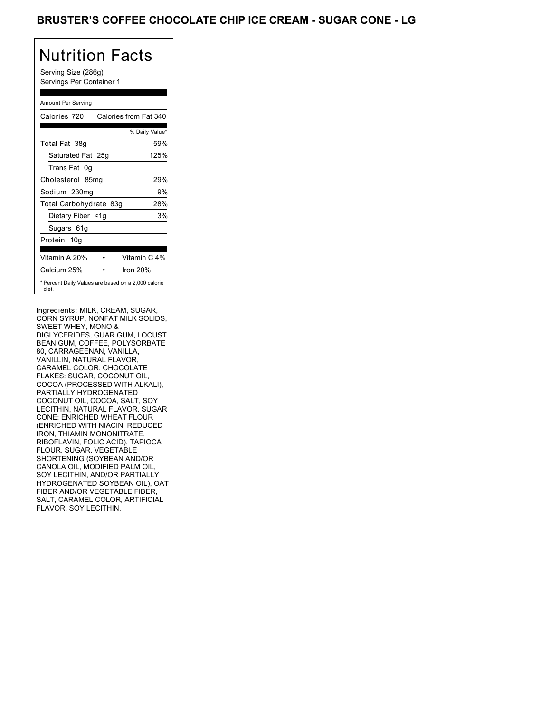## BRUSTER'S COFFEE CHOCOLATE CHIP ICE CREAM - SUGAR CONE - LG

# Nutrition Facts

Serving Size (286g) Servings Per Container 1

### Amount Per Serving

| Calories 720<br>Calories from Fat 340                        |                |
|--------------------------------------------------------------|----------------|
|                                                              |                |
|                                                              | % Daily Value* |
| Total Fat 38g                                                | 59%            |
| Saturated Fat 25g                                            | 125%           |
| Trans Fat<br>0q                                              |                |
| Cholesterol 85mg                                             | 29%            |
| Sodium 230mg                                                 | 9%             |
| Total Carbohydrate 83g                                       | 28%            |
| Dietary Fiber <1g                                            | 3%             |
| Sugars 61g                                                   |                |
| Protein 10g                                                  |                |
| Vitamin A 20%<br>Vitamin C 4%                                |                |
| Calcium 25%<br>Iron $20%$                                    |                |
| * Percent Daily Values are based on a 2,000 calorie<br>diet. |                |

Ingredients: MILK, CREAM, SUGAR, CORN SYRUP, NONFAT MILK SWEET WHEY, MONO & DIGLYCERIDES, GUAR GUM, LOCUST BIOLTOLINDES, OOAN OOM, LOOOS<br>BEAN GUM, COFFEE, POLYSORBATE 80, CARRAGEENAN, VANILLA, VANILLIN, NATURAL FLAVOR, CARAMEL COLOR. CHOCOLATE FLAKES: SUGAR, COCONUT OIL, COCOA (PROCESSED WITH ALKALI), PARTIALLY HYDROGENATED COCONUT OIL, COCOA, SALT, SOY LECITHIN, NATURAL FLAVOR. SUGAR CONE: ENRICHED WHEAT FLOUR (ENRICHED WITH NIACIN, REDUCED IRON, THIAMIN MONONITRATE, RIBOFLAVIN, FOLIC ACID), TAPIOCA FLOUR, SUGAR, VEGETABLE SHORTENING (SOYBEAN AND/OR CANOLA OIL, MODIFIED PALM OIL, SOY LECITHIN, AND/OR PARTIALLY HYDROGENATED SOYBEAN OIL), OAT FIBER AND/OR VEGETABLE FIBER, SALT, CARAMEL COLOR, ARTIFICIAL FLAVOR, SOY LECITHIN.  $T_1$  $T_2$  $T_3$   $T_4$  $T_5$   $T_6$   $T_7$  $T_8$  $T_9$  $T_1$  $T_2$  $T_3$  $T_4$  Saturated Fat Less than 20g 25g  $\overline{\phantom{a}}$ BEAN GUM, COFFEE, POLYSORBATE Service Georgia Contents (286g)<br>
Service Full Galence transformation (286g)<br>
Colores Colores Contents (286g)<br>
Colores Colores Colores Colores Colores<br>
Colores Colores Colores Colores Colores<br>
Colores Colores Colores Color SWEET WHEY, MONO &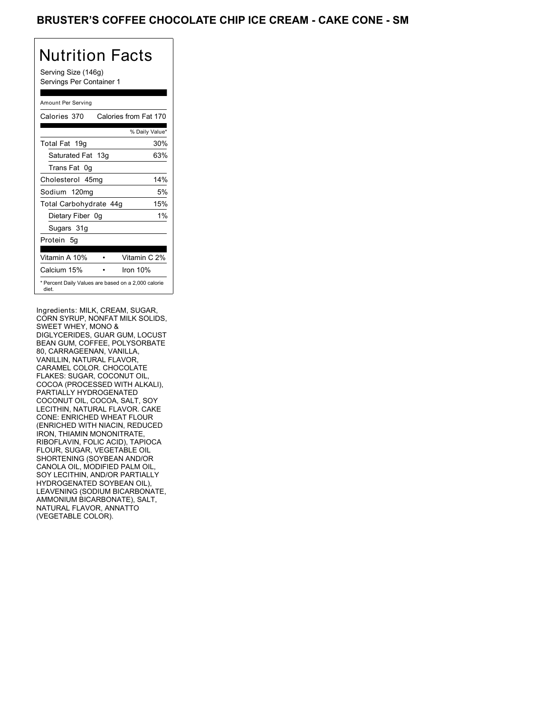## BRUSTER'S COFFEE CHOCOLATE CHIP ICE CREAM - CAKE CONE - SM

## Nutrition Facts

Serving Size (146g) Servings Per Container 1

### Amount Per Serving

| Calories 370           | Calories from Fat 170                               |
|------------------------|-----------------------------------------------------|
|                        | % Daily Value*                                      |
| Total Fat 19g          | 30%                                                 |
| Saturated Fat 13g      | 63%                                                 |
| Trans Fat 0q           |                                                     |
| Cholesterol 45mg       | 14%                                                 |
| Sodium 120mg           | 5%                                                  |
| Total Carbohydrate 44g | 15%                                                 |
| Dietary Fiber 0g       | 1%                                                  |
| Sugars 31g             |                                                     |
| Protein 5q             |                                                     |
| Vitamin A 10%          | Vitamin C 2%                                        |
| Calcium 15%            | Iron 10%                                            |
| diet.                  | * Percent Daily Values are based on a 2,000 calorie |

depending on your calorie needs:

Ingredients: MILK, CREAM, SUGAR, CORN SYRUP, NONFAT MILK SWEET WHEY, MONO & DIGLYCERIDES, GUAR GUM, LOCUST BIOLTOLINDES, OOAN OOM, LOOOS<br>BEAN GUM, COFFEE, POLYSORBATE 80, CARRAGEENAN, VANILLA, VANILLIN, NATURAL FLAVOR, CARAMEL COLOR. CHOCOLATE FLAKES: SUGAR, COCONUT OIL, COCOA (PROCESSED WITH ALKALI), PARTIALLY HYDROGENATED COCONUT OIL, COCOA, SALT, SOY LECITHIN, NATURAL FLAVOR. CAKE CONE: ENRICHED WHEAT FLOUR (ENRICHED WITH NIACIN, REDUCED IRON, THIAMIN MONONITRATE, RIBOFLAVIN, FOLIC ACID), TAPIOCA FLOUR, SUGAR, VEGETABLE OIL SHORTENING (SOYBEAN AND/OR CANOLA OIL, MODIFIED PALM OIL, SOY LECITHIN, AND/OR PARTIALLY HYDROGENATED SOYBEAN OIL), LEAVENING (SODIUM BICARBONATE, AMMONIUM BICARBONATE), SALT, NATURAL FLAVOR, ANNATTO (VEGETABLE COLOR).  $T_1$  $T_2$  $T_3$   $T_4$  $T_5$   $T_6$   $T_7$  $T_8$  $T_9$  $T_1$  $T_2$  $T_3$  $T_4$  Saturated Fat Less than 20g 25g SWEET WHEY, MONO &<br>DISCOVERED 3000 DOUGLASS TO 2000 BEAN GUM, COFFEE, POLYSORBATE Celebrate 19, 17019g30%13g 63%13g 63%13g 63%13g 63%13g 63%13g 63%13g 63%13g 63%13g 63%13g 63%13g 63%13g 63%13g 63%13g 63%13g 63%13g 63%13g 63%13g 63%13g 63%13g 63%13g 63%13g 63%13g 63%13g 63%13g 63%13g 63%13g 63%13g 63%13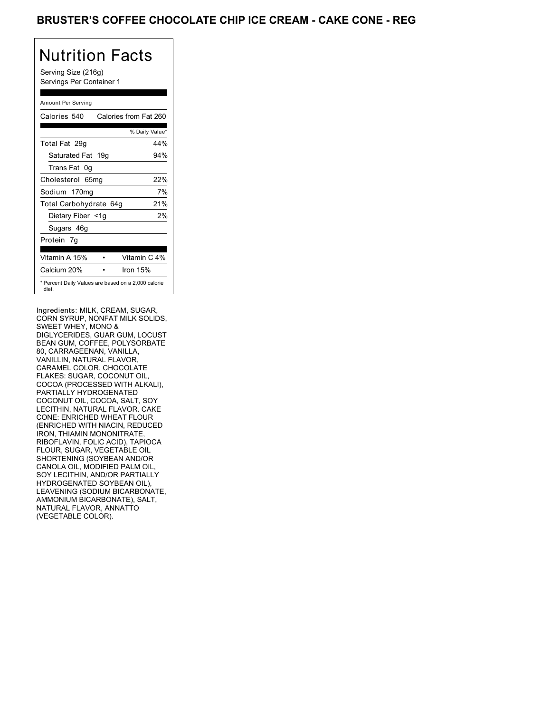## BRUSTER'S COFFEE CHOCOLATE CHIP ICE CREAM - CAKE CONE - REG

# Nutrition Facts

Serving Size (216g) Servings Per Container 1

### Amount Per Serving

| Calories 540           | Calories from Fat 260                               |
|------------------------|-----------------------------------------------------|
|                        | % Daily Value*                                      |
| Total Fat 29q          | 44%                                                 |
| Saturated Fat 19g      | 94%                                                 |
| Trans Fat 0q           |                                                     |
| Cholesterol 65mg       | 22%                                                 |
| Sodium 170mg           | 7%                                                  |
| Total Carbohydrate 64g | 21%                                                 |
| Dietary Fiber <1g      | 2%                                                  |
| Sugars 46g             |                                                     |
| Protein 7q             |                                                     |
|                        |                                                     |
| Vitamin A 15%          | Vitamin C 4%                                        |
| Calcium 20%            | Iron $15%$                                          |
| diet.                  | * Percent Daily Values are based on a 2,000 calorie |

depending on your calorie needs:

Ingredients: MILK, CREAM, SUGAR, CORN SYRUP, NONFAT MILK SWEET WHEY, MONO & DIGLYCERIDES, GUAR GUM, LOCUST BIOLTOLINDES, OOAN OOM, LOOOS<br>BEAN GUM, COFFEE, POLYSORBATE 80, CARRAGEENAN, VANILLA, VANILLIN, NATURAL FLAVOR, CARAMEL COLOR. CHOCOLATE FLAKES: SUGAR, COCONUT OIL, COCOA (PROCESSED WITH ALKALI), PARTIALLY HYDROGENATED COCONUT OIL, COCOA, SALT, SOY LECITHIN, NATURAL FLAVOR. CAKE CONE: ENRICHED WHEAT FLOUR (ENRICHED WITH NIACIN, REDUCED IRON, THIAMIN MONONITRATE, RIBOFLAVIN, FOLIC ACID), TAPIOCA FLOUR, SUGAR, VEGETABLE OIL SHORTENING (SOYBEAN AND/OR CANOLA OIL, MODIFIED PALM OIL, SOY LECITHIN, AND/OR PARTIALLY HYDROGENATED SOYBEAN OIL), LEAVENING (SODIUM BICARBONATE, AMMONIUM BICARBONATE), SALT, NATURAL FLAVOR, ANNATTO (VEGETABLE COLOR).  $T_1$  $T_2$  $T_3$   $T_4$  $T_5$   $T_6$   $T_7$  $T_8$  $T_9$  $T_1$  $T_2$  $T_3$  $T_4$  Saturated Fat Less than 20g 25g SWEET WHEY, MONO &<br>DISCOVERED 3000 DOUGLASS TO 2000 BEAN GUM, COFFEE, POLYSORBATE Celebrate 1968<br>
Vertical Thursday, Full Thursday, The Celebrate of the Samuel Thursday<br>
Statistical Thursday<br>
Statistical December 08, 542<br>
Statistical, Full Thursday, The Celebrate of the Samuel Thursday<br>
Celebrate of th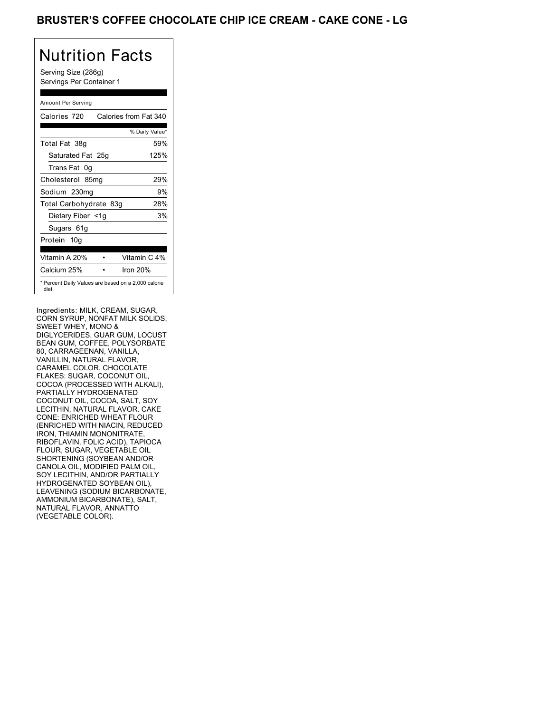## BRUSTER'S COFFEE CHOCOLATE CHIP ICE CREAM - CAKE CONE - LG

# Nutrition Facts

Serving Size (286g) Servings Per Container 1

### Amount Per Serving

| Calories 720                                                 | Calories from Fat 340 |
|--------------------------------------------------------------|-----------------------|
|                                                              | % Daily Value*        |
| Total Fat 38g                                                | 59%                   |
| Saturated Fat 25g                                            | 125%                  |
| Trans Fat 0q                                                 |                       |
| Cholesterol 85mg                                             | 29%                   |
| Sodium 230mg                                                 | 9%                    |
| Total Carbohydrate 83g                                       | 28%                   |
| Dietary Fiber <1g                                            | 3%                    |
| Sugars 61g                                                   |                       |
| Protein 10g                                                  |                       |
| Vitamin A 20%                                                | Vitamin C 4%          |
| Calcium 25%                                                  | Iron 20%              |
| * Percent Daily Values are based on a 2,000 calorie<br>diet. |                       |

depending on your calorie needs:

Ingredients: MILK, CREAM, SUGAR, CORN SYRUP, NONFAT MILK SWEET WHEY, MONO & DIGLYCERIDES, GUAR GUM, LOCUST BIOLTOLINDES, OOAN OOM, LOOOS<br>BEAN GUM, COFFEE, POLYSORBATE 80, CARRAGEENAN, VANILLA, VANILLIN, NATURAL FLAVOR, CARAMEL COLOR. CHOCOLATE FLAKES: SUGAR, COCONUT OIL, COCOA (PROCESSED WITH ALKALI), PARTIALLY HYDROGENATED COCONUT OIL, COCOA, SALT, SOY LECITHIN, NATURAL FLAVOR. CAKE CONE: ENRICHED WHEAT FLOUR (ENRICHED WITH NIACIN, REDUCED IRON, THIAMIN MONONITRATE, RIBOFLAVIN, FOLIC ACID), TAPIOCA FLOUR, SUGAR, VEGETABLE OIL SHORTENING (SOYBEAN AND/OR CANOLA OIL, MODIFIED PALM OIL, SOY LECITHIN, AND/OR PARTIALLY HYDROGENATED SOYBEAN OIL), LEAVENING (SODIUM BICARBONATE, AMMONIUM BICARBONATE), SALT, NATURAL FLAVOR, ANNATTO (VEGETABLE COLOR).  $T_1$  $T_2$  $T_3$   $T_4$  $T_5$   $T_6$   $T_7$  $T_8$  $T_9$  $T_1$  $T_2$  $T_3$  $T_4$  Saturated Fat Less than 20g 25g  $\overline{\phantom{a}}$ BEAN GUM, COFFEE, POLYSORBATE Columbia 229<br>
Vertical Thursday, The Marian Columbia 23, 3403<br>
Vertical Thursday, The Marian Columbia 23<br>
Securities and the Maria Columbia 23<br>
Securities and Securities and Securities and Securities and Securities and Se NONFAT MILK SOLIDS, SWEET WHEY, MONO &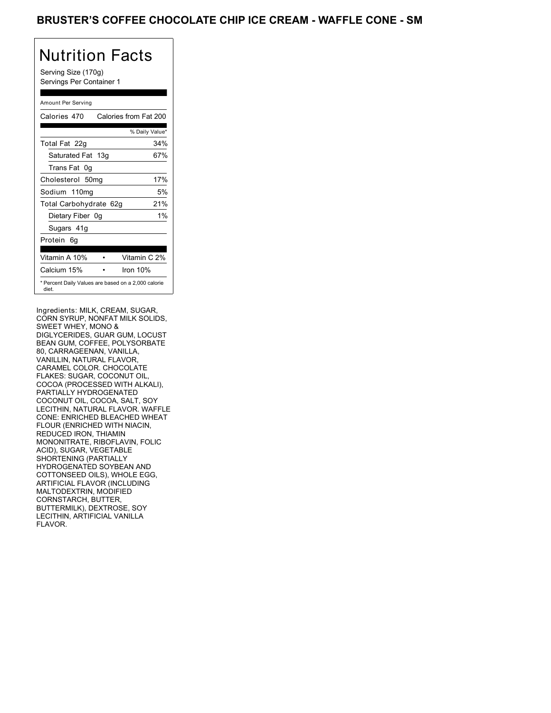## BRUSTER'S COFFEE CHOCOLATE CHIP ICE CREAM - WAFFLE CONE - SM

## Nutrition Facts

Serving Size (170g) Servings Per Container 1

### Amount Per Serving

| Calories 470                                                 | Calories from Fat 200 |
|--------------------------------------------------------------|-----------------------|
|                                                              | % Daily Value*        |
| Total Fat 22g                                                | 34%                   |
| Saturated Fat 13g                                            | 67%                   |
| Trans Fat 0q                                                 |                       |
| Cholesterol 50mg                                             | 17%                   |
| Sodium 110mg                                                 | 5%                    |
| Total Carbohydrate 62g                                       | 21%                   |
| Dietary Fiber 0g                                             | $1\%$                 |
| Sugars 41g                                                   |                       |
| Protein 6q                                                   |                       |
| Vitamin A 10%                                                | Vitamin C 2%          |
| Calcium 15%                                                  | Iron $10%$            |
| * Percent Daily Values are based on a 2,000 calorie<br>diet. |                       |

depending on your calorie needs:

Ingredients: MILK, CREAM, SUGAR, CORN SYRUP, NONFAT MILK SWEET WHEY, MONO & DIGLYCERIDES, GUAR GUM, LOCUST BIOLTOLINDES, OOAN OOM, LOOOS<br>BEAN GUM, COFFEE, POLYSORBATE 80, CARRAGEENAN, VANILLA, VANILLIN, NATURAL FLAVOR, CARAMEL COLOR. CHOCOLATE FLAKES: SUGAR, COCONUT OIL, COCOA (PROCESSED WITH ALKALI), PARTIALLY HYDROGENATED COCONUT OIL, COCOA, SALT, SOY LECITHIN, NATURAL FLAVOR. WAFFLE CONE: ENRICHED BLEACHED WHEAT FLOUR (ENRICHED WITH NIACIN, REDUCED IRON, THIAMIN MONONITRATE, RIBOFLAVIN, FOLIC ACID), SUGAR, VEGETABLE SHORTENING (PARTIALLY HYDROGENATED SOYBEAN AND COTTONSEED OILS), WHOLE EGG, ARTIFICIAL FLAVOR (INCLUDING MALTODEXTRIN, MODIFIED CORNSTARCH, BUTTER, BUTTERMILK), DEXTROSE, SOY BUTTERMILK), DEXTROSE, SOY<br>LECITHIN, ARTIFICIAL VANILLA FLAVOR.  $T_1$  $T_2$  $T_3$   $T_4$  $T_5$   $T_6$   $T_7$  $T_8$  $T_9$  $T_1$  $T_2$  $T_3$  $T_4$  Saturated Fat Less than 20g 25g SWEET WHEY, MONO &<br>DISCOVERED 3000 DOUGLASS TO 2000 BEAN GUM, COFFEE, POLYSORBATE MONONITRATE, RIBOFLAVIN, FOLIC ACID), SUGAR, VEGETABLE Celebrate 27, 20022g34% 139, 20022g34%23g 67%50mg<br>
Years 27, 20022g34% 139, 2002<br>
Saturday, 27, 2002<br>
Saturday, 27, 2002<br>
Saturday, 27, 2002<br>
Saturday, 27, 2002<br>
Celebrate 28, 2002<br>
Celebrate 28, 2002<br>
Celebrate 29, 2002<br> MONONITRATE, RIBOFLAVIN, FOLIC ACID), SUGAR, VEGETABLE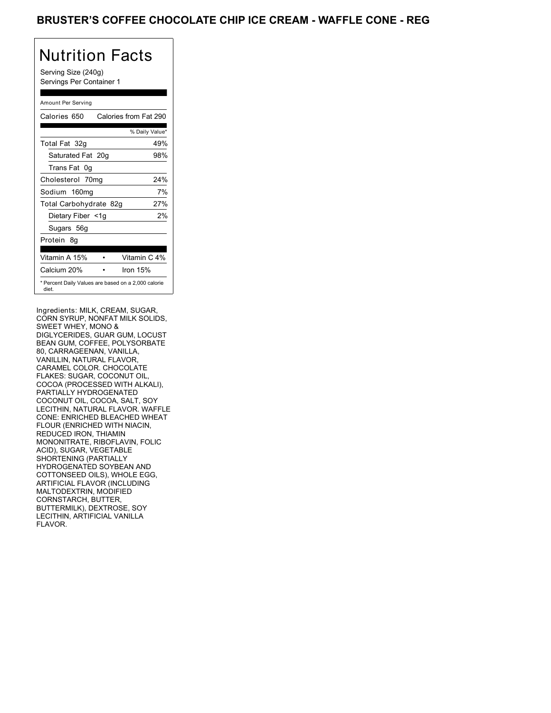## BRUSTER'S COFFEE CHOCOLATE CHIP ICE CREAM - WAFFLE CONE - REG

# Nutrition Facts

Serving Size (240g) Servings Per Container 1

### Amount Per Serving

| Calories 650           | Calories from Fat 290                               |
|------------------------|-----------------------------------------------------|
|                        | % Daily Value*                                      |
| Total Fat 32g          | 49%                                                 |
| Saturated Fat 20g      | 98%                                                 |
| Trans Fat 0q           |                                                     |
| Cholesterol 70mg       | 24%                                                 |
| Sodium 160mg           | 7%                                                  |
| Total Carbohydrate 82g | 27%                                                 |
| Dietary Fiber <1g      | 2%                                                  |
| Sugars 56g             |                                                     |
| Protein 8q             |                                                     |
| Vitamin A 15%          | Vitamin C 4%                                        |
| Calcium 20%            | Iron $15%$                                          |
| diet.                  | * Percent Daily Values are based on a 2,000 calorie |

depending on your calorie needs:

Ingredients: MILK, CREAM, SUGAR, CORN SYRUP, NONFAT MILK SWEET WHEY, MONO & DIGLYCERIDES, GUAR GUM, LOCUST BIOLTOLINDES, OOAN OOM, LOOOS<br>BEAN GUM, COFFEE, POLYSORBATE 80, CARRAGEENAN, VANILLA, VANILLIN, NATURAL FLAVOR, CARAMEL COLOR. CHOCOLATE FLAKES: SUGAR, COCONUT OIL, COCOA (PROCESSED WITH ALKALI), PARTIALLY HYDROGENATED COCONUT OIL, COCOA, SALT, SOY LECITHIN, NATURAL FLAVOR. WAFFLE CONE: ENRICHED BLEACHED WHEAT FLOUR (ENRICHED WITH NIACIN, REDUCED IRON, THIAMIN MONONITRATE, RIBOFLAVIN, FOLIC ACID), SUGAR, VEGETABLE SHORTENING (PARTIALLY HYDROGENATED SOYBEAN AND COTTONSEED OILS), WHOLE EGG, ARTIFICIAL FLAVOR (INCLUDING MALTODEXTRIN, MODIFIED CORNSTARCH, BUTTER, BUTTERMILK), DEXTROSE, SOY BUTTERMILK), DEXTROSE, SOY<br>LECITHIN, ARTIFICIAL VANILLA FLAVOR.  $T_1$  $T_2$  $T_3$   $T_4$  $T_5$   $T_6$   $T_7$  $T_8$  $T_9$  $T_1$  $T_2$  $T_3$  $T_4$  Saturated Fat Less than 20g 25g SWEET WHEY, MONO &<br>DISCOVERED 3000 DOUGLASS TO 2000 BEAN GUM, COFFEE, POLYSORBATE MONONITRATE, RIBOFLAVIN, FOLIC ACID), SUGAR, VEGETABLE Celebrate 28<br>
Vertical Saturday 70 mg<br>
Saturday 70 mg<br>
Saturday, 27, 299<br>
Saturday, 27, 29<br>
Saturday, 27, 29<br>
Saturday, 27, 29<br>
Celebrate 28<br>
Celebrate 28<br>
Celebrate 28<br>
Celebrate 28<br>
Celebrate 28<br>
Celebrate 28<br>
Celebrate MONONITRATE, RIBOFLAVIN, FOLIC ACID), SUGAR, VEGETABLE